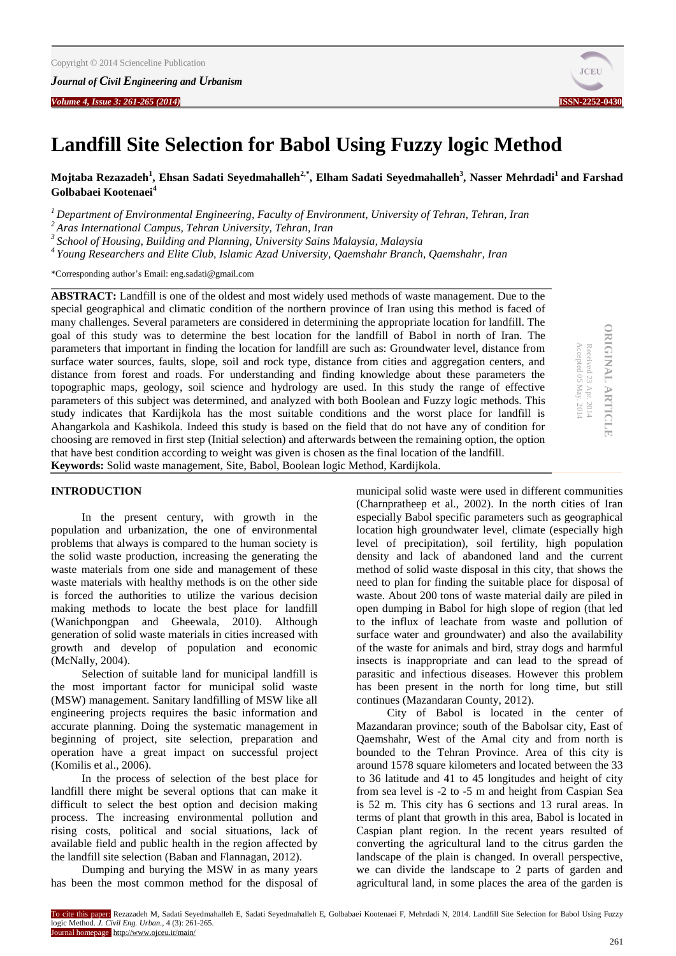

# **Landfill Site Selection for Babol Using Fuzzy logic Method**

**Mojtaba Rezazadeh<sup>1</sup> , Ehsan Sadati Seyedmahalleh2,\* , Elham Sadati Seyedmahalleh<sup>3</sup> , Nasser Mehrdadi<sup>1</sup>and Farshad Golbabaei Kootenaei<sup>4</sup>**

*<sup>1</sup>Department of Environmental Engineering, Faculty of Environment, University of Tehran, Tehran, Iran*

*<sup>2</sup>Aras International Campus, Tehran University, Tehran, Iran*

*<sup>3</sup>School of Housing, Building and Planning, University Sains Malaysia, Malaysia*

*<sup>4</sup>Young Researchers and Elite Club, Islamic Azad University, Qaemshahr Branch, Qaemshahr, Iran*

\*Corresponding author's Email[: eng.sadati@gmail.com](mailto:eng.sadati@gmail.com)

**ABSTRACT:** Landfill is one of the oldest and most widely used methods of waste management. Due to the special geographical and climatic condition of the northern province of Iran using this method is faced of many challenges. Several parameters are considered in determining the appropriate location for landfill. The goal of this study was to determine the best location for the landfill of Babol in north of Iran. The parameters that important in finding the location for landfill are such as: Groundwater level, distance from surface water sources, faults, slope, soil and rock type, distance from cities and aggregation centers, and distance from forest and roads. For understanding and finding knowledge about these parameters the topographic maps, geology, soil science and hydrology are used. In this study the range of effective parameters of this subject was determined, and analyzed with both Boolean and Fuzzy logic methods. This study indicates that Kardijkola has the most suitable conditions and the worst place for landfill is Ahangarkola and Kashikola. Indeed this study is based on the field that do not have any of condition for choosing are removed in first step (Initial selection) and afterwards between the remaining option, the option that have best condition according to weight was given is chosen as the final location of the landfill. **Keywords:** Solid waste management, Site, Babol, Boolean logic Method, Kardijkola.

**ORIGINAL ARTICLE ORIGINAL ARTICLE** Received 23 Apr. 2014 Received 23

Accepted 05 kcepted 05 May. 2014

### **INTRODUCTION**

In the present century, with growth in the population and urbanization, the one of environmental problems that always is compared to the human society is the solid waste production, increasing the generating the waste materials from one side and management of these waste materials with healthy methods is on the other side is forced the authorities to utilize the various decision making methods to locate the best place for landfill (Wanichpongpan and Gheewala, 2010). Although generation of solid waste materials in cities increased with growth and develop of population and economic (McNally, 2004).

Selection of suitable land for municipal landfill is the most important factor for municipal solid waste (MSW) management. Sanitary landfilling of MSW like all engineering projects requires the basic information and accurate planning. Doing the systematic management in beginning of project, site selection, preparation and operation have a great impact on successful project (Komilis et al., 2006).

In the process of selection of the best place for landfill there might be several options that can make it difficult to select the best option and decision making process. The increasing environmental pollution and rising costs, political and social situations, lack of available field and public health in the region affected by the landfill site selection (Baban and Flannagan, 2012).

Dumping and burying the MSW in as many years has been the most common method for the disposal of municipal solid waste were used in different communities (Charnpratheep et al., 2002). In the north cities of Iran especially Babol specific parameters such as geographical location high groundwater level, climate (especially high level of precipitation), soil fertility, high population density and lack of abandoned land and the current method of solid waste disposal in this city, that shows the need to plan for finding the suitable place for disposal of waste. About 200 tons of waste material daily are piled in open dumping in Babol for high slope of region (that led to the influx of leachate from waste and pollution of surface water and groundwater) and also the availability of the waste for animals and bird, stray dogs and harmful insects is inappropriate and can lead to the spread of parasitic and infectious diseases. However this problem has been present in the north for long time, but still continues (Mazandaran County, 2012).

City of Babol is located in the center of Mazandaran province; south of the Babolsar city, East of Qaemshahr, West of the Amal city and from north is bounded to the Tehran Province. Area of this city is around 1578 square kilometers and located between the 33 to 36 latitude and 41 to 45 longitudes and height of city from sea level is -2 to -5 m and height from Caspian Sea is 52 m. This city has 6 sections and 13 rural areas. In terms of plant that growth in this area, Babol is located in Caspian plant region. In the recent years resulted of converting the agricultural land to the citrus garden the landscape of the plain is changed. In overall perspective, we can divide the landscape to 2 parts of garden and agricultural land, in some places the area of the garden is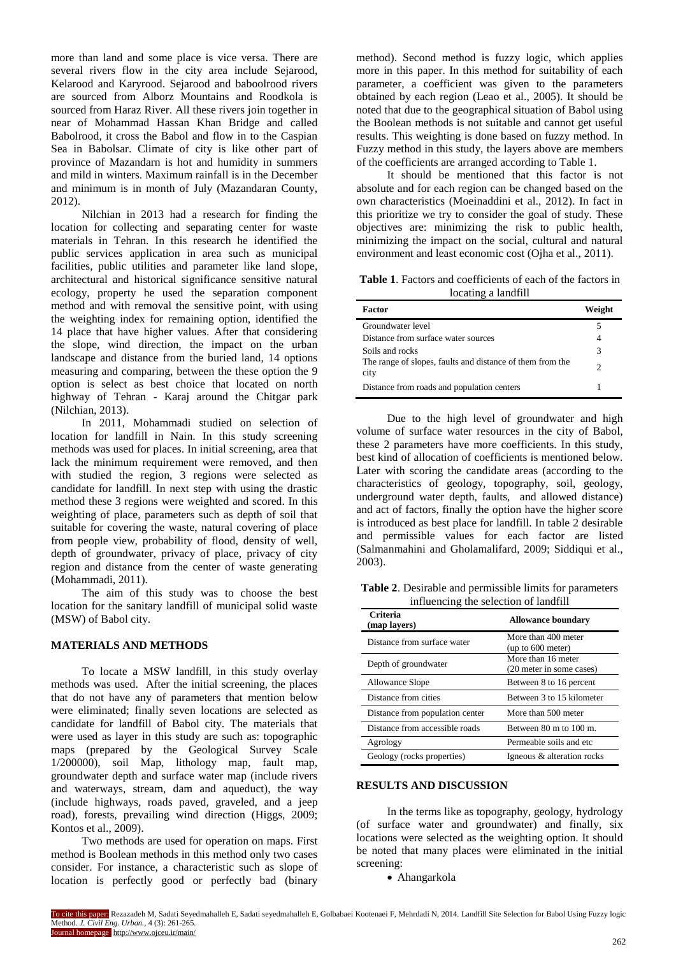more than land and some place is vice versa. There are several rivers flow in the city area include Sejarood, Kelarood and Karyrood. Sejarood and baboolrood rivers are sourced from Alborz Mountains and Roodkola is sourced from Haraz River. All these rivers join together in near of Mohammad Hassan Khan Bridge and called Babolrood, it cross the Babol and flow in to the Caspian Sea in Babolsar. Climate of city is like other part of province of Mazandarn is hot and humidity in summers and mild in winters. Maximum rainfall is in the December and minimum is in month of July (Mazandaran County, 2012).

Nilchian in 2013 had a research for finding the location for collecting and separating center for waste materials in Tehran. In this research he identified the public services application in area such as municipal facilities, public utilities and parameter like land slope, architectural and historical significance sensitive natural ecology, property he used the separation component method and with removal the sensitive point, with using the weighting index for remaining option, identified the 14 place that have higher values. After that considering the slope, wind direction, the impact on the urban landscape and distance from the buried land, 14 options measuring and comparing, between the these option the 9 option is select as best choice that located on north highway of Tehran - Karaj around the Chitgar park (Nilchian, 2013).

In 2011, Mohammadi studied on selection of location for landfill in Nain. In this study screening methods was used for places. In initial screening, area that lack the minimum requirement were removed, and then with studied the region, 3 regions were selected as candidate for landfill. In next step with using the drastic method these 3 regions were weighted and scored. In this weighting of place, parameters such as depth of soil that suitable for covering the waste, natural covering of place from people view, probability of flood, density of well, depth of groundwater, privacy of place, privacy of city region and distance from the center of waste generating (Mohammadi, 2011).

The aim of this study was to choose the best location for the sanitary landfill of municipal solid waste (MSW) of Babol city.

# **MATERIALS AND METHODS**

To locate a MSW landfill, in this study overlay methods was used. After the initial screening, the places that do not have any of parameters that mention below were eliminated; finally seven locations are selected as candidate for landfill of Babol city. The materials that were used as layer in this study are such as: topographic maps (prepared by the Geological Survey Scale 1/200000), soil Map, lithology map, fault map, groundwater depth and surface water map (include rivers and waterways, stream, dam and aqueduct), the way (include highways, roads paved, graveled, and a jeep road), forests, prevailing wind direction (Higgs, 2009; Kontos et al., 2009).

Two methods are used for operation on maps. First method is Boolean methods in this method only two cases consider. For instance, a characteristic such as slope of location is perfectly good or perfectly bad (binary

method). Second method is fuzzy logic, which applies more in this paper. In this method for suitability of each parameter, a coefficient was given to the parameters obtained by each region (Leao et al., 2005). It should be noted that due to the geographical situation of Babol using the Boolean methods is not suitable and cannot get useful results. This weighting is done based on fuzzy method. In Fuzzy method in this study, the layers above are members of the coefficients are arranged according to Table 1.

It should be mentioned that this factor is not absolute and for each region can be changed based on the own characteristics (Moeinaddini et al., 2012). In fact in this prioritize we try to consider the goal of study. These objectives are: minimizing the risk to public health, minimizing the impact on the social, cultural and natural environment and least economic cost (Ojha et al., 2011).

**Table 1**. Factors and coefficients of each of the factors in locating a landfill

| Factor                                                            | Weight |
|-------------------------------------------------------------------|--------|
| Groundwater level                                                 |        |
| Distance from surface water sources                               |        |
| Soils and rocks                                                   | 3      |
| The range of slopes, faults and distance of them from the<br>city | 2      |
| Distance from roads and population centers                        |        |

Due to the high level of groundwater and high volume of surface water resources in the city of Babol, these 2 parameters have more coefficients. In this study, best kind of allocation of coefficients is mentioned below. Later with scoring the candidate areas (according to the characteristics of geology, topography, soil, geology, underground water depth, faults, and allowed distance) and act of factors, finally the option have the higher score is introduced as best place for landfill. In table 2 desirable and permissible values for each factor are listed (Salmanmahini and Gholamalifard, 2009; Siddiqui et al., 2003).

**Table 2**. Desirable and permissible limits for parameters influencing the selection of landfill

| Criteria<br>(map layers)        | <b>Allowance boundary</b>                      |
|---------------------------------|------------------------------------------------|
| Distance from surface water     | More than 400 meter<br>(up to 600 meter)       |
| Depth of groundwater            | More than 16 meter<br>(20 meter in some cases) |
| Allowance Slope                 | Between 8 to 16 percent                        |
| Distance from cities            | Between 3 to 15 kilometer                      |
| Distance from population center | More than 500 meter                            |
| Distance from accessible roads  | Between $80 \text{ m}$ to $100 \text{ m}$ .    |
| Agrology                        | Permeable soils and etc.                       |
| Geology (rocks properties)      | Igneous & alteration rocks                     |

### **RESULTS AND DISCUSSION**

In the terms like as topography, geology, hydrology (of surface water and groundwater) and finally, six locations were selected as the weighting option. It should be noted that many places were eliminated in the initial screening:

Ahangarkola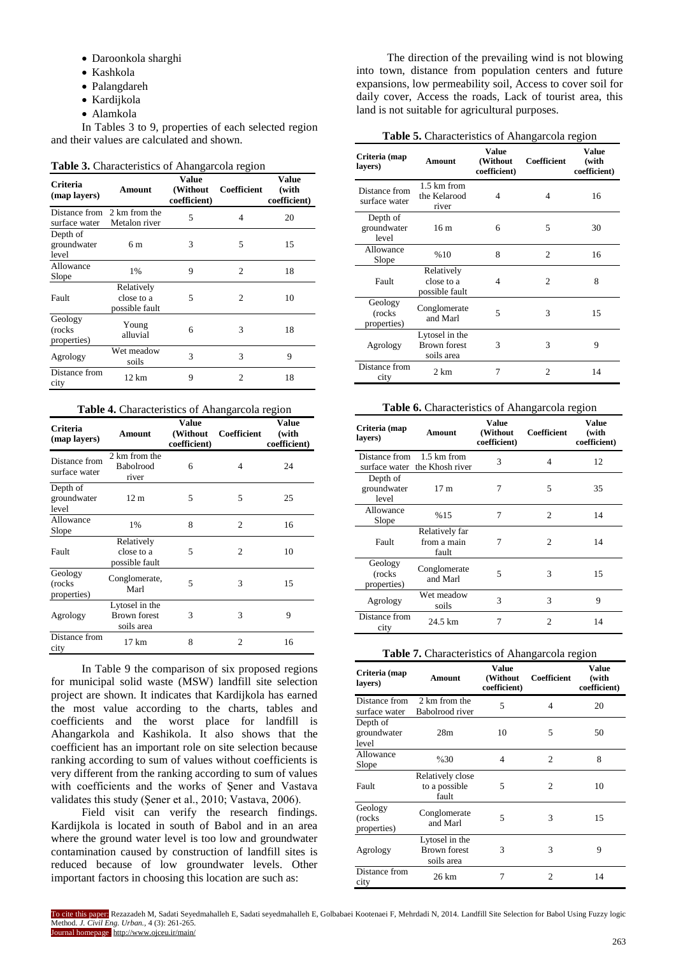- Daroonkola sharghi
- Kashkola
- Palangdareh
- Kardijkola
- Alamkola

In Tables 3 to 9, properties of each selected region and their values are calculated and shown.

#### **Table 3.** Characteristics of Ahangarcola region

| Criteria<br>(map layers)          | Amount                                     | Value<br>(Without<br>coefficient) | Coefficient    | <b>Value</b><br>(with<br>coefficient) |
|-----------------------------------|--------------------------------------------|-----------------------------------|----------------|---------------------------------------|
| Distance from<br>surface water    | 2 km from the<br>Metalon river             | 5                                 | 4              | 20                                    |
| Depth of<br>groundwater<br>level  | 6 m                                        | 3                                 | 5              | 15                                    |
| Allowance<br>Slope                | $1\%$                                      | 9                                 | $\overline{c}$ | 18                                    |
| Fault                             | Relatively<br>close to a<br>possible fault | 5                                 | 2              | 10                                    |
| Geology<br>(rocks)<br>properties) | Young<br>alluvial                          | 6                                 | 3              | 18                                    |
| Agrology                          | Wet meadow<br>soils                        | 3                                 | 3              | 9                                     |
| Distance from<br>city             | 12 km                                      | 9                                 | 2              | 18                                    |

| <b>Table 4.</b> Characteristics of Ahangarcola region |                                                     |                                   |                |                                |
|-------------------------------------------------------|-----------------------------------------------------|-----------------------------------|----------------|--------------------------------|
| Criteria<br>(map layers)                              | <b>Amount</b>                                       | Value<br>(Without<br>coefficient) | Coefficient    | Value<br>(with<br>coefficient) |
| Distance from<br>surface water                        | 2 km from the<br>Babolrood<br>river                 | 6                                 | 4              | 24                             |
| Depth of<br>groundwater<br>level                      | 12 <sub>m</sub>                                     | 5                                 | 5              | 25                             |
| Allowance<br>Slope                                    | 1%                                                  | 8                                 | $\overline{c}$ | 16                             |
| Fault                                                 | Relatively<br>close to a<br>possible fault          | 5                                 | $\overline{c}$ | 10                             |
| Geology<br>(rocks)<br>properties)                     | Conglomerate,<br>Marl                               | 5                                 | 3              | 15                             |
| Agrology                                              | Lytosel in the<br><b>Brown forest</b><br>soils area | 3                                 | 3              | 9                              |
| Distance from<br>city                                 | $17 \text{ km}$                                     | 8                                 | $\mathfrak{D}$ | 16                             |

In Table 9 the comparison of six proposed regions for municipal solid waste (MSW) landfill site selection project are shown. It indicates that Kardijkola has earned the most value according to the charts, tables and coefficients and the worst place for landfill is Ahangarkola and Kashikola. It also shows that the coefficient has an important role on site selection because ranking according to sum of values without coefficients is very different from the ranking according to sum of values with coefficients and the works of Şener and Vastava validates this study (Şener et al., 2010; Vastava, 2006).

Field visit can verify the research findings. Kardijkola is located in south of Babol and in an area where the ground water level is too low and groundwater contamination caused by construction of landfill sites is reduced because of low groundwater levels. Other important factors in choosing this location are such as:

The direction of the prevailing wind is not blowing into town, distance from population centers and future expansions, low permeability soil, Access to cover soil for daily cover, Access the roads, Lack of tourist area, this land is not suitable for agricultural purposes.

#### **Table 5.** Characteristics of Ahangarcola region

| Criteria (map<br>layers)          | Amount                                              | Value<br>(Without<br>coefficient) | Coefficient    | <b>Value</b><br>(with<br>coefficient) |
|-----------------------------------|-----------------------------------------------------|-----------------------------------|----------------|---------------------------------------|
| Distance from<br>surface water    | 1.5 km from<br>the Kelarood<br>river                | 4                                 | 4              | 16                                    |
| Depth of<br>groundwater<br>level  | 16 <sub>m</sub>                                     | 6                                 | 5              | 30                                    |
| Allowance<br>Slope                | %10                                                 | 8                                 | $\overline{c}$ | 16                                    |
| Fault                             | Relatively<br>close to a<br>possible fault          | 4                                 | $\overline{c}$ | 8                                     |
| Geology<br>(rocks)<br>properties) | Conglomerate<br>and Marl                            | 5                                 | 3              | 15                                    |
| Agrology                          | Lytosel in the<br><b>Brown forest</b><br>soils area | 3                                 | 3              | 9                                     |
| Distance from<br>city             | $2 \text{ km}$                                      | 7                                 | $\overline{c}$ | 14                                    |

#### **Table 6.** Characteristics of Ahangarcola region

| Criteria (map<br>lavers)          | Amount                                       | <b>Value</b><br>(Without<br>coefficient) | Coefficient                 | <b>Value</b><br>(with<br>coefficient) |
|-----------------------------------|----------------------------------------------|------------------------------------------|-----------------------------|---------------------------------------|
| Distance from                     | 1.5 km from<br>surface water the Khosh river | 3                                        | 4                           | 12                                    |
| Depth of<br>groundwater<br>level  | 17 <sub>m</sub>                              | 7                                        | 5                           | 35                                    |
| Allowance<br>Slope                | %15                                          | 7                                        | $\mathcal{D}_{\mathcal{L}}$ | 14                                    |
| Fault                             | Relatively far<br>from a main<br>fault       | 7                                        | $\overline{c}$              | 14                                    |
| Geology<br>(rocks)<br>properties) | Conglomerate<br>and Marl                     | 5                                        | 3                           | 15                                    |
| Agrology                          | Wet meadow<br>soils                          | 3                                        | 3                           | 9                                     |
| Distance from<br>city             | 24.5 km                                      | 7                                        | 2                           | 14                                    |

# **Table 7.** Characteristics of Ahangarcola region

| Criteria (map<br>layers)          | Amount                                              | <b>Value</b><br>(Without<br>coefficient) | Coefficient    | <b>Value</b><br>(with<br>coefficient) |
|-----------------------------------|-----------------------------------------------------|------------------------------------------|----------------|---------------------------------------|
| Distance from<br>surface water    | 2 km from the<br>Babolrood river                    | 5                                        | 4              | 20                                    |
| Depth of<br>groundwater<br>level  | 28m                                                 | 10                                       | 5              | 50                                    |
| Allowance<br>Slope                | %30                                                 | 4                                        | $\overline{c}$ | 8                                     |
| Fault                             | Relatively close<br>to a possible<br>fault          | 5                                        | $\overline{c}$ | 10                                    |
| Geology<br>(rocks)<br>properties) | Conglomerate<br>and Marl                            | 5                                        | 3              | 15                                    |
| Agrology                          | Lytosel in the<br><b>Brown</b> forest<br>soils area | 3                                        | 3              | 9                                     |
| Distance from<br>city             | 26 km                                               | 7                                        | $\overline{c}$ | 14                                    |

To cite this paper: Rezazadeh M, Sadati Seyedmahalleh E, Sadati seyedmahalleh E, Golbabaei Kootenaei F, Mehrdadi N, 2014. Landfill Site Selection for Babol Using Fuzzy logic Method. *J. Civil Eng. Urban.,* 4 (3): 261-265. Journal homepage: http://www.ojceu.ir/main/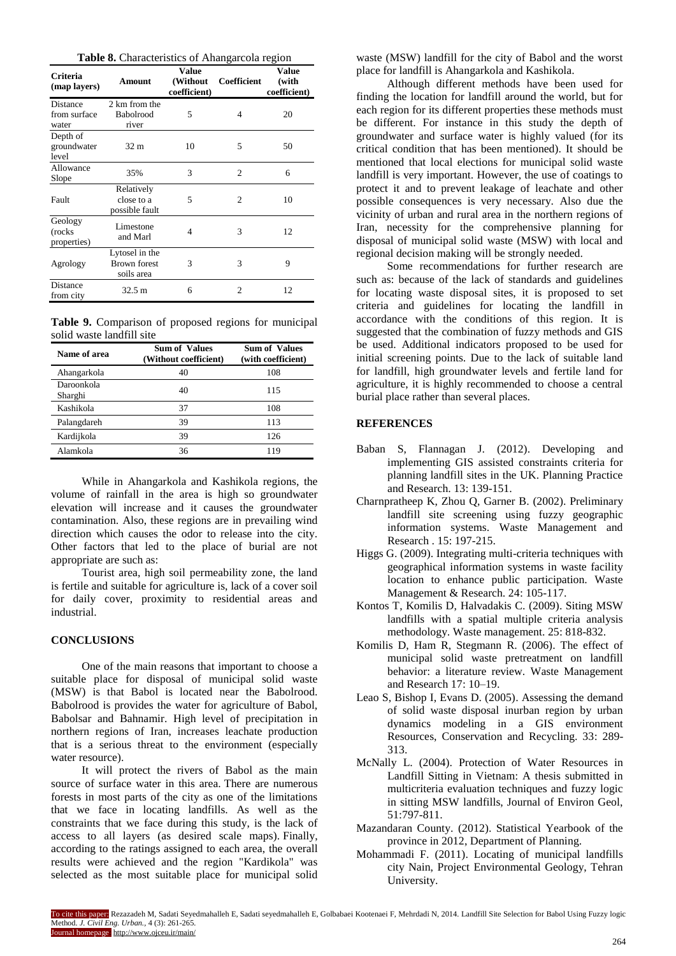|  |  | Table 8. Characteristics of Ahangarcola region |  |  |
|--|--|------------------------------------------------|--|--|
|--|--|------------------------------------------------|--|--|

| <b>Criteria</b><br>(map layers)          | Amount                                              | <b>Value</b><br>(Without<br>coefficient) | Coefficient    | <b>Value</b><br>(with<br>coefficient) |
|------------------------------------------|-----------------------------------------------------|------------------------------------------|----------------|---------------------------------------|
| <b>Distance</b><br>from surface<br>water | 2 km from the<br>Babolrood<br>river                 | 5                                        | 4              | 20                                    |
| Depth of<br>groundwater<br>level         | 32 <sub>m</sub>                                     | 10                                       | 5              | 50                                    |
| Allowance<br>Slope                       | 35%                                                 | 3                                        | $\overline{c}$ | 6                                     |
| Fault                                    | Relatively<br>close to a<br>possible fault          | 5                                        | $\overline{c}$ | 10                                    |
| Geology<br>(rocks)<br>properties)        | Limestone<br>and Marl                               | 4                                        | 3              | 12                                    |
| Agrology                                 | Lytosel in the<br><b>Brown</b> forest<br>soils area | 3                                        | 3              | 9                                     |
| Distance<br>from city                    | $32.5 \text{ m}$                                    | 6                                        | $\mathfrak{D}$ | 12                                    |

**Table 9.** Comparison of proposed regions for municipal solid waste landfill site

| Name of area          | <b>Sum of Values</b><br>(Without coefficient) | <b>Sum of Values</b><br>(with coefficient) |
|-----------------------|-----------------------------------------------|--------------------------------------------|
| Ahangarkola           | 40                                            | 108                                        |
| Daroonkola<br>Sharghi | 40                                            | 115                                        |
| Kashikola             | 37                                            | 108                                        |
| Palangdareh           | 39                                            | 113                                        |
| Kardijkola            | 39                                            | 126                                        |
| Alamkola              | 36                                            | 119                                        |

While in Ahangarkola and Kashikola regions, the volume of rainfall in the area is high so groundwater elevation will increase and it causes the groundwater contamination. Also, these regions are in prevailing wind direction which causes the odor to release into the city. Other factors that led to the place of burial are not appropriate are such as:

Tourist area, high soil permeability zone, the land is fertile and suitable for agriculture is, lack of a cover soil for daily cover, proximity to residential areas and industrial.

# **CONCLUSIONS**

One of the main reasons that important to choose a suitable place for disposal of municipal solid waste (MSW) is that Babol is located near the Babolrood. Babolrood is provides the water for agriculture of Babol, Babolsar and Bahnamir. High level of precipitation in northern regions of Iran, increases leachate production that is a serious threat to the environment (especially water resource).

It will protect the rivers of Babol as the main source of surface water in this area. There are numerous forests in most parts of the city as one of the limitations that we face in locating landfills. As well as the constraints that we face during this study, is the lack of access to all layers (as desired scale maps). Finally, according to the ratings assigned to each area, the overall results were achieved and the region "Kardikola" was selected as the most suitable place for municipal solid waste (MSW) landfill for the city of Babol and the worst place for landfill is Ahangarkola and Kashikola.

Although different methods have been used for finding the location for landfill around the world, but for each region for its different properties these methods must be different. For instance in this study the depth of groundwater and surface water is highly valued (for its critical condition that has been mentioned). It should be mentioned that local elections for municipal solid waste landfill is very important. However, the use of coatings to protect it and to prevent leakage of leachate and other possible consequences is very necessary. Also due the vicinity of urban and rural area in the northern regions of Iran, necessity for the comprehensive planning for disposal of municipal solid waste (MSW) with local and regional decision making will be strongly needed.

Some recommendations for further research are such as: because of the lack of standards and guidelines for locating waste disposal sites, it is proposed to set criteria and guidelines for locating the landfill in accordance with the conditions of this region. It is suggested that the combination of fuzzy methods and GIS be used. Additional indicators proposed to be used for initial screening points. Due to the lack of suitable land for landfill, high groundwater levels and fertile land for agriculture, it is highly recommended to choose a central burial place rather than several places.

# **REFERENCES**

- Baban S, Flannagan J. (2012). Developing and implementing GIS assisted constraints criteria for planning landfill sites in the UK. Planning Practice and Research. 13: 139-151.
- Charnpratheep K, Zhou Q, Garner B. (2002). Preliminary landfill site screening using fuzzy geographic information systems. Waste Management and Research . 15: 197-215.
- Higgs G. (2009). Integrating multi-criteria techniques with geographical information systems in waste facility location to enhance public participation. Waste Management & Research. 24: 105-117.
- Kontos T, Komilis D, Halvadakis C. (2009). Siting MSW landfills with a spatial multiple criteria analysis methodology. Waste management. 25: 818-832.
- Komilis D, Ham R, Stegmann R. (2006). The effect of municipal solid waste pretreatment on landfill behavior: a literature review. Waste Management and Research 17: 10–19.
- Leao S, Bishop I, Evans D. (2005). Assessing the demand of solid waste disposal inurban region by urban dynamics modeling in a GIS environment Resources, Conservation and Recycling. 33: 289- 313.
- McNally L. (2004). Protection of Water Resources in Landfill Sitting in Vietnam: A thesis submitted in multicriteria evaluation techniques and fuzzy logic in sitting MSW landfills, Journal of Environ Geol, 51:797-811.
- Mazandaran County. (2012). Statistical Yearbook of the province in 2012, Department of Planning.
- Mohammadi F. (2011). Locating of municipal landfills city Nain, Project Environmental Geology, Tehran University.